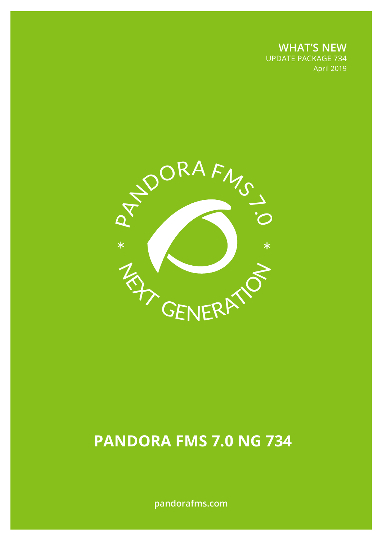**WHAT'S NEW** UPDATE PACKAGE 734 April 2019



# **PANDORA FMS 7.0 NG 734**

**pandorafms.com**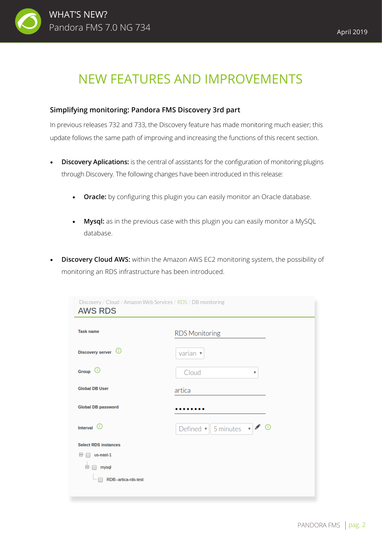

## NEW FEATURES AND IMPROVEMENTS

## **Simplifying monitoring: Pandora FMS Discovery 3rd part**

In previous releases 732 and 733, the Discovery feature has made monitoring much easier; this update follows the same path of improving and increasing the functions of this recent section.

- **Discovery Aplications:** is the central of assistants for the configuration of monitoring plugins through Discovery. The following changes have been introduced in this release:
	- **Oracle:** by configuring this plugin you can easily monitor an Oracle database.
	- **Mysql:** as in the previous case with this plugin you can easily monitor a MySQL database.
- **Discovery Cloud AWS:** within the Amazon AWS EC2 monitoring system, the possibility of monitoring an RDS infrastructure has been introduced.

| <b>Task name</b><br>Discovery server (i) | <b>RDS Monitoring</b>                                                         |
|------------------------------------------|-------------------------------------------------------------------------------|
|                                          |                                                                               |
|                                          | varian $\sqrt{ }$                                                             |
| Group $\odot$                            | Cloud<br>v                                                                    |
| <b>Global DB User</b>                    | artica                                                                        |
| <b>Global DB password</b>                |                                                                               |
| Interval $\odot$                         | Defined $\mathbf{v} \parallel 5$ minutes $\mathbf{v} \mid \mathbf{v}$ $\odot$ |
| <b>Select RDS instances</b>              |                                                                               |
| E- 1<br>us-east-1                        |                                                                               |
| Ėŀ<br>mysql                              |                                                                               |
| RDB--artica-rds-test<br>i                |                                                                               |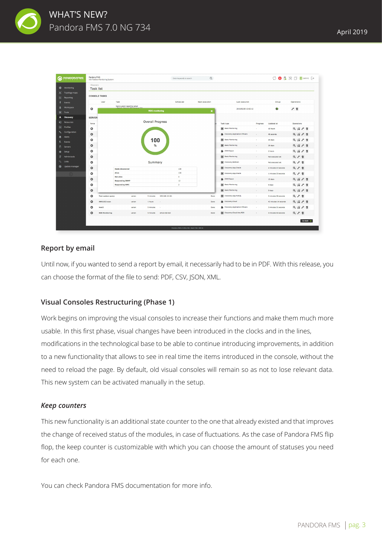

| <b>PANDORAFMS</b>                                                   | Pandora FMS<br>the Flexible Monitoring System         |                          |                                                     |                         |                 | Enter keywords to search                   | $\alpha$              |                              |          |                       | $O$ <b>B</b> $\mathbb{R}$ $\Box$ <b>Q</b> (admin) $\Box$                                                                                                                                                                                                                                                                                            |
|---------------------------------------------------------------------|-------------------------------------------------------|--------------------------|-----------------------------------------------------|-------------------------|-----------------|--------------------------------------------|-----------------------|------------------------------|----------|-----------------------|-----------------------------------------------------------------------------------------------------------------------------------------------------------------------------------------------------------------------------------------------------------------------------------------------------------------------------------------------------|
| <b>Co</b> Monitoring<br><b>Topology maps</b><br>x<br>回<br>Reporting | Discovery<br><b>Task list</b><br><b>CONSOLE TASKS</b> |                          |                                                     |                         |                 |                                            |                       |                              |          |                       |                                                                                                                                                                                                                                                                                                                                                     |
| Events                                                              |                                                       | User<br>Task             |                                                     |                         |                 | Scheduled                                  | <b>Next execution</b> | <b>Last execution</b>        |          | Group                 | Operations                                                                                                                                                                                                                                                                                                                                          |
| Workspace<br><b>条</b> Tools                                         | $\circ$                                               |                          | Send custom report by email<br>orte 006 Release 733 | <b>RDS</b> monitoring   |                 |                                            | ×                     | 2019/03/30 13:02:12          |          | G                     | ╱ 面                                                                                                                                                                                                                                                                                                                                                 |
| <b>Discovery</b><br>Α<br>⊕<br>Resources                             | <b>SERVER</b>                                         |                          |                                                     | <b>Overall Progress</b> |                 |                                            |                       |                              |          |                       |                                                                                                                                                                                                                                                                                                                                                     |
| 国<br>Profiles                                                       | Force                                                 |                          |                                                     |                         |                 |                                            |                       | Task type                    | Progress | <b>Updated at</b>     | Operations                                                                                                                                                                                                                                                                                                                                          |
| Configuration                                                       | $\circ$                                               |                          |                                                     |                         |                 |                                            |                       | <b>Basic Monitoring</b>      |          | 10 hours              | $Q \searrow f$                                                                                                                                                                                                                                                                                                                                      |
| Alerts<br>л                                                         | $\circ$                                               |                          |                                                     |                         |                 |                                            |                       | Discovery.Application.VMware | ٠        | 48 seconds            | $Q \times F$                                                                                                                                                                                                                                                                                                                                        |
| Events                                                              | $\circ$                                               |                          |                                                     | 100                     |                 |                                            |                       | <b>Basic Monitoring</b>      | ×        | 20 days               | $Q \leqslant P$                                                                                                                                                                                                                                                                                                                                     |
| B<br><b>Servers</b>                                                 | $\circ$                                               |                          |                                                     | %                       |                 |                                            |                       | <b>Basic Monitoring</b>      | $\sim$   | 29 days               | $Q \leqslant P$                                                                                                                                                                                                                                                                                                                                     |
| Setup<br>₩                                                          | $\circ$                                               |                          |                                                     |                         |                 |                                            |                       | <b>PAM Recon</b>             | ×        | 2 hours               | $Q \searrow P$                                                                                                                                                                                                                                                                                                                                      |
| <b>Admin tools</b><br>正                                             | $\circ$                                               |                          |                                                     |                         |                 |                                            |                       | <b>Basic Monitoring</b>      | $\sim$   | Not executed yet      | Q / 面                                                                                                                                                                                                                                                                                                                                               |
| $Q_{\odot}$ Links                                                   | $\circ$                                               |                          |                                                     | Summary                 |                 |                                            |                       | Discovery.NetScan            | ٠        | Not executed yet      | Q 产面                                                                                                                                                                                                                                                                                                                                                |
| ◉<br>Update manager                                                 | $\circ$                                               |                          | <b>Hosts discovered</b>                             |                         |                 | 108                                        |                       | Discovery.App.Oracle         | ×.       | 2 minutes 47 seconds  | Q 产面                                                                                                                                                                                                                                                                                                                                                |
| $\circledcirc$                                                      | $\circ$                                               | Alive                    |                                                     |                         |                 | 108                                        |                       | Discovery.App.Oracle         | ×        | 1 minutes 33 seconds  | Q 产面                                                                                                                                                                                                                                                                                                                                                |
|                                                                     | ۰                                                     |                          | Not alive<br><b>Responding SNMP</b>                 |                         |                 | $\bullet$<br>12                            |                       | <b>SEP IPAM Recon</b>        | $\sim$   | 15 days               | $Q \searrow f \oplus$                                                                                                                                                                                                                                                                                                                               |
|                                                                     | $\circ$                                               |                          | <b>Responding WMI</b>                               |                         |                 | $\overline{2}$                             |                       | <b>Basic Monitoring</b>      | ×,       | 9 days                | $Q \searrow P$                                                                                                                                                                                                                                                                                                                                      |
|                                                                     | $\circ$                                               |                          |                                                     |                         |                 |                                            |                       | <b>Basic Monitoring</b>      | $\sim$   | 9 days                | $\begin{picture}(160,15) \put(0,0){\line(1,0){15}} \put(15,0){\line(1,0){15}} \put(15,0){\line(1,0){15}} \put(15,0){\line(1,0){15}} \put(15,0){\line(1,0){15}} \put(15,0){\line(1,0){15}} \put(15,0){\line(1,0){15}} \put(15,0){\line(1,0){15}} \put(15,0){\line(1,0){15}} \put(15,0){\line(1,0){15}} \put(15,0){\line(1,0){15}} \put(15,0){\line($ |
|                                                                     | $\circ$                                               | <b>Test custom query</b> | varian                                              | 5 minutes               | 192.168.10.161  |                                            | Done                  | Discovery.App.MySQL          | ٠        | 3 minutes 36 seconds  | @ 产面                                                                                                                                                                                                                                                                                                                                                |
|                                                                     | ۰                                                     | AWS.EC2 scan             | varian                                              | 1 hours                 | ٠               |                                            | Done                  | Discovery.Cloud              | ×.       | 43 minutes 14 seconds | $Q \searrow P$                                                                                                                                                                                                                                                                                                                                      |
|                                                                     | $\circ$<br>host <sub>2</sub>                          |                          | varian                                              | 5 minutes               |                 |                                            | Done                  | Discovery.Application.VMware |          | 3 minutes 31 seconds  | $Q \searrow f \circ$                                                                                                                                                                                                                                                                                                                                |
|                                                                     | $\circ$                                               | <b>RDS Monitoring</b>    | varian                                              | 5 minutes               | artica-rds-test |                                            | Done                  | Discovery.Cloud.Aws.RDS      | $\sim$   | 3 minutes 50 seconds  | Q 产面                                                                                                                                                                                                                                                                                                                                                |
|                                                                     |                                                       |                          |                                                     |                         |                 |                                            |                       |                              |          |                       | Go back X                                                                                                                                                                                                                                                                                                                                           |
|                                                                     |                                                       |                          |                                                     |                         |                 | Pandora FMS v7.0NG.734 - Build 733 - MR 26 |                       |                              |          |                       |                                                                                                                                                                                                                                                                                                                                                     |

## **Report by email**

Until now, if you wanted to send a report by email, it necessarily had to be in PDF. With this release, you can choose the format of the file to send: PDF, CSV, JSON, XML.

## **Visual Consoles Restructuring (Phase 1)**

Work begins on improving the visual consoles to increase their functions and make them much more usable. In this first phase, visual changes have been introduced in the clocks and in the lines, modifications in the technological base to be able to continue introducing improvements, in addition to a new functionality that allows to see in real time the items introduced in the console, without the need to reload the page. By default, old visual consoles will remain so as not to lose relevant data. This new system can be activated manually in the setup.

### *Keep counters*

This new functionality is an additional state counter to the one that already existed and that improves the change of received status of the modules, in case of fluctuations. As the case of Pandora FMS flip flop, the keep counter is customizable with which you can choose the amount of statuses you need for each one.

You can check Pandora FMS documentation for more info.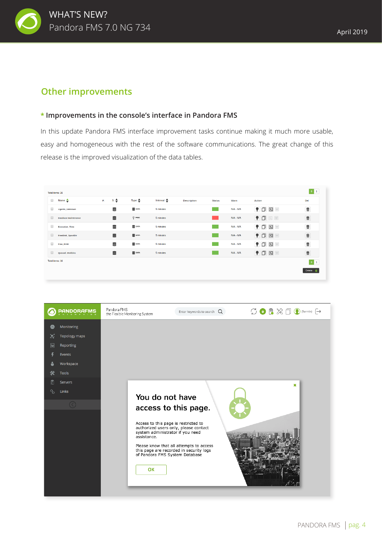

## **Other improvements**

### **\* Improvements in the console's interface in Pandora FMS**

In this update Pandora FMS interface improvement tasks continue making it much more usable, easy and homogeneous with the rest of the software communications. The great change of this release is the improved visualization of the data tables.

|        | Total items: 16             |         |                   |                   |                       |                    |               |           |                                   |                                       |
|--------|-----------------------------|---------|-------------------|-------------------|-----------------------|--------------------|---------------|-----------|-----------------------------------|---------------------------------------|
|        | $\Box$ Name $\triangle$     | $P_{1}$ | $s.\triangleleft$ | Type $\triangleq$ | Interval $\triangleq$ | <b>Description</b> | <b>Status</b> | Warn      | Action                            | Del.                                  |
|        | <b>Agents Unknown</b>       |         | Ξ                 | $\equiv$ DATA     | 5 minutes             |                    |               | N/A - N/A | $\bullet$ $\circ$ $\circ$ $\circ$ | $\bar{\pmb{\varpi}}$                  |
| $\Box$ | <b>Database Maintenance</b> |         | 言                 | $\mathbb{P}$ PROG | 5 minutes             |                    |               | N/A - N/A | $\P\Box$                          | Ŵ                                     |
|        | <b>Execution Time</b>       |         | Ξ                 | $\equiv$ DATA     | 5 minutes             |                    |               | N/A - N/A | $\bullet$ $\circ$ $\circ$ $\circ$ | Ŵ                                     |
| $\Box$ | FreeDisk_SpoolDir           |         | 9                 | $\equiv$ DATA     | 5 minutes             |                    |               | N/A - N/A | ♥□因■                              | $\bar{\mathbb{W}}$                    |
| $\Box$ | Free_RAM                    |         | Ξ                 | $\equiv$ DATA     | 5 minutes             |                    |               | N/A - N/A | $\Box$ $\Box$                     | $\bar{\mathbb{m}}$                    |
|        | Queued Modules              |         | Ξ                 | $\equiv$ DATA     | 5 minutes             |                    |               | N/A - N/A | ●□因■                              | $\bar{\overline{\mathbf{w}}}$         |
|        | Total items: 16             |         |                   |                   |                       |                    |               |           |                                   | $\begin{bmatrix} 0 & 1 \end{bmatrix}$ |
|        |                             |         |                   |                   |                       |                    |               |           |                                   | Delete <b>商</b>                       |
|        |                             |         |                   |                   |                       |                    |               |           |                                   |                                       |

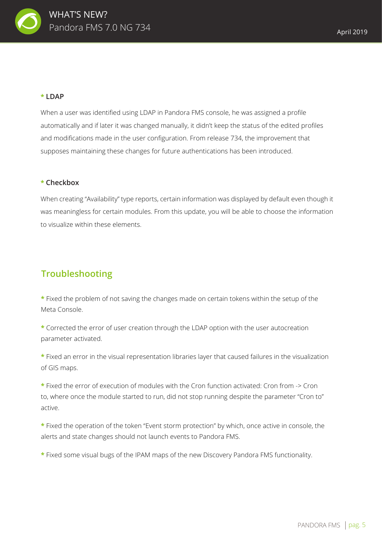

## **\* LDAP**

When a user was identified using LDAP in Pandora FMS console, he was assigned a profile automatically and if later it was changed manually, it didn't keep the status of the edited profiles and modifications made in the user configuration. From release 734, the improvement that supposes maintaining these changes for future authentications has been introduced.

### **\* Checkbox**

When creating "Availability" type reports, certain information was displayed by default even though it was meaningless for certain modules. From this update, you will be able to choose the information to visualize within these elements.

## **Troubleshooting**

**\*** Fixed the problem of not saving the changes made on certain tokens within the setup of the Meta Console.

**\*** Corrected the error of user creation through the LDAP option with the user autocreation parameter activated.

**\*** Fixed an error in the visual representation libraries layer that caused failures in the visualization of GIS maps.

**\*** Fixed the error of execution of modules with the Cron function activated: Cron from -> Cron to, where once the module started to run, did not stop running despite the parameter "Cron to" active.

**\*** Fixed the operation of the token "Event storm protection" by which, once active in console, the alerts and state changes should not launch events to Pandora FMS.

**\*** Fixed some visual bugs of the IPAM maps of the new Discovery Pandora FMS functionality.